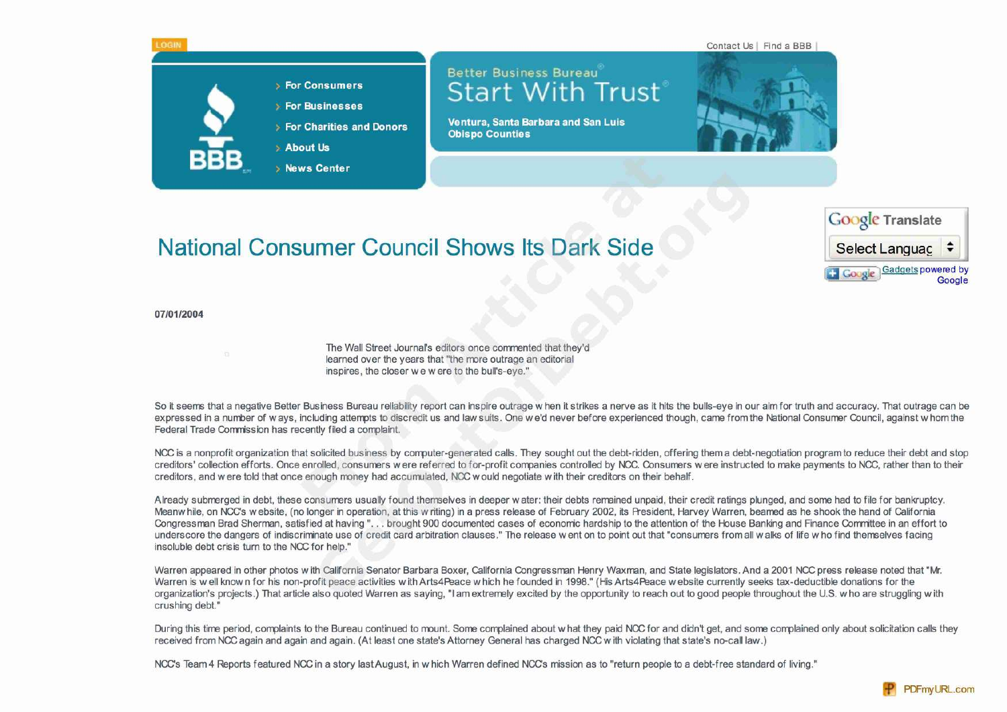

## National Consumer Council Shows Its Dark Side Select Languac



## **07/01/2004**

The Wall Street Journal's editors once commented that they'd learned over the years that "the more outrage an editorial inspires, the closer we w ere to the bull's-eye."

So it seems that a negative Better Business Bureau reliability report can inspire outrage w hen it strikes a nerve as it hits the bulls-eye in our aim for truth and accuracy. That outrage can be expressed in a number of ways, including attempts to discredit us and law suits. One we'd never before experienced though, came from the National Consumer Council, against w hom the Federal Trade Comrission has recently filed a complaint.

NCC is a nonprofit organization that solicited business by computer-generated calls. They sought out the debt-ridden, offering them a debt-negotiation program to reduce their debt and stop creditors' collection efforts. Once enrolled, consumers were referred to for-profit companies controlled by NCC. Consumers were instructed to make payments to NCC, rather than to their creditors, and were told that once enough money had accurralated, NCC would negotiate with their creditors on their behalf.

Already submerged in debt, these consumers usually found themselves in deeper water: their debts remained unpaid, their credit ratings plunged, and some had to file for bankruptcy. Meanwhile, on NCC's website, (no longer in operation, at this w riting) in a press release of February 2002, its President, Harvey Warren, beamed as he shook the hand of California Congressman Brad Sherman, satisfied at having"... brought 900 documented cases of economic hardship to the attention of the House Banking and Finance Committee in an effort to underscore the dangers of indiscriminate use of credit card arbitration clauses." The release went on to point out that "consumers from all walks of life w ho find themselves facing insoluble debt crisis turn to the NCC for help."

Warren appeared in other photos w ith California Senator Barbara Boxer, California Congressman Henry Waxman, and State legislators. And a 2001 NCC press release noted that "Mr. Warren is w ell know n for his non-profit peace activities w ith Arts4Peace w hich he founded in 1998." (His Arts4Peace w ebsite currently seeks tax-deductible donations for the organization's projects.) That article also quoted Warren as saying,"I am extremely excited by the opportunity to reach out to good people throughout the U.S. w ho are struggling w ith crushing debt."

During this time period, complaints to the Bureau continued to mount. Some complained about what they paid NCC for and didn't get, and some complained only about solicitation calls they received from NCC again and again and again. (At least one state's Attorney General has charged NCC w ith violating that state's no-call law.)

NCC's Team 4 Reports featured NCC in a story last August, in w hich Warren defined NCC's mission as to "return people to a debt-free standard of living."